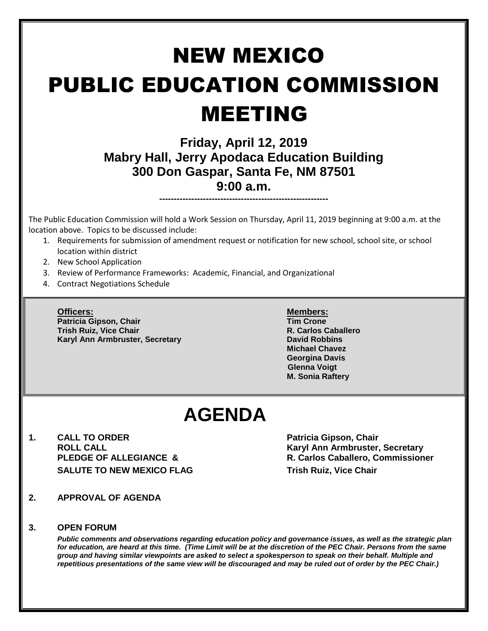# NEW MEXICO PUBLIC EDUCATION COMMISSION MEETING

### **Friday, April 12, 2019 Mabry Hall, Jerry Apodaca Education Building 300 Don Gaspar, Santa Fe, NM 87501 9:00 a.m.**

**----------------------------------------------------------**

The Public Education Commission will hold a Work Session on Thursday, April 11, 2019 beginning at 9:00 a.m. at the location above. Topics to be discussed include:

- 1. Requirements for submission of amendment request or notification for new school, school site, or school location within district
- 2. New School Application
- 3. Review of Performance Frameworks: Academic, Financial, and Organizational
- 4. Contract Negotiations Schedule

**Officers: Members: Patricia Gipson, Chair Tim Crone Trish Ruiz, Vice Chair R. Carlos Caballero Karyl Ann Armbruster, Secretary <b>David Robbins David Robbins** 

**Michael Chavez Georgina Davis Glenna Voigt M. Sonia Raftery**

## **AGENDA**

**1. CALL TO ORDER Patricia Gipson, Chair SALUTE TO NEW MEXICO FLAG THE SALUTE TO NEW MEXICO FLAG** 

**ROLL CALL Karyl Ann Armbruster, Secretary PLEDGE OF ALLEGIANCE & R. Carlos Caballero, Commissioner**

**2. APPROVAL OF AGENDA**

#### **3. OPEN FORUM**

*Public comments and observations regarding education policy and governance issues, as well as the strategic plan for education, are heard at this time. (Time Limit will be at the discretion of the PEC Chair. Persons from the same group and having similar viewpoints are asked to select a spokesperson to speak on their behalf. Multiple and repetitious presentations of the same view will be discouraged and may be ruled out of order by the PEC Chair.)*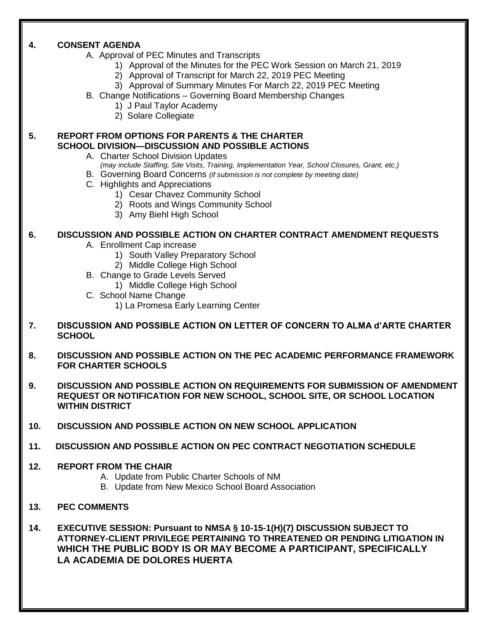#### **4. CONSENT AGENDA**

- A. Approval of PEC Minutes and Transcripts
	- 1) Approval of the Minutes for the PEC Work Session on March 21, 2019
	- 2) Approval of Transcript for March 22, 2019 PEC Meeting
	- 3) Approval of Summary Minutes For March 22, 2019 PEC Meeting
- B. Change Notifications Governing Board Membership Changes
	- 1) J Paul Taylor Academy
	- 2) Solare Collegiate

#### **5. REPORT FROM OPTIONS FOR PARENTS & THE CHARTER SCHOOL DIVISION—DISCUSSION AND POSSIBLE ACTIONS**

- A. Charter School Division Updates
	- *(may include Staffing, Site Visits, Training, Implementation Year, School Closures, Grant, etc.)*
- B. Governing Board Concerns *(if submission is not complete by meeting date)*
- C. Highlights and Appreciations
	- 1) Cesar Chavez Community School
	- 2) Roots and Wings Community School
	- 3) Amy Biehl High School

#### **6. DISCUSSION AND POSSIBLE ACTION ON CHARTER CONTRACT AMENDMENT REQUESTS**

- A. Enrollment Cap increase
	- 1) South Valley Preparatory School
	- 2) Middle College High School
- B. Change to Grade Levels Served
	- 1) Middle College High School
- C. School Name Change
	- 1) La Promesa Early Learning Center
- **7. DISCUSSION AND POSSIBLE ACTION ON LETTER OF CONCERN TO ALMA d'ARTE CHARTER SCHOOL**
- **8. DISCUSSION AND POSSIBLE ACTION ON THE PEC ACADEMIC PERFORMANCE FRAMEWORK FOR CHARTER SCHOOLS**
- **9. DISCUSSION AND POSSIBLE ACTION ON REQUIREMENTS FOR SUBMISSION OF AMENDMENT REQUEST OR NOTIFICATION FOR NEW SCHOOL, SCHOOL SITE, OR SCHOOL LOCATION WITHIN DISTRICT**
- **10. DISCUSSION AND POSSIBLE ACTION ON NEW SCHOOL APPLICATION**
- **11. DISCUSSION AND POSSIBLE ACTION ON PEC CONTRACT NEGOTIATION SCHEDULE**

#### **12. REPORT FROM THE CHAIR**

- A. Update from Public Charter Schools of NM
- B. Update from New Mexico School Board Association
- **13. PEC COMMENTS**

**14. EXECUTIVE SESSION: Pursuant to NMSA § 10-15-1(H)(7) DISCUSSION SUBJECT TO ATTORNEY-CLIENT PRIVILEGE PERTAINING TO THREATENED OR PENDING LITIGATION IN WHICH THE PUBLIC BODY IS OR MAY BECOME A PARTICIPANT, SPECIFICALLY LA ACADEMIA DE DOLORES HUERTA**